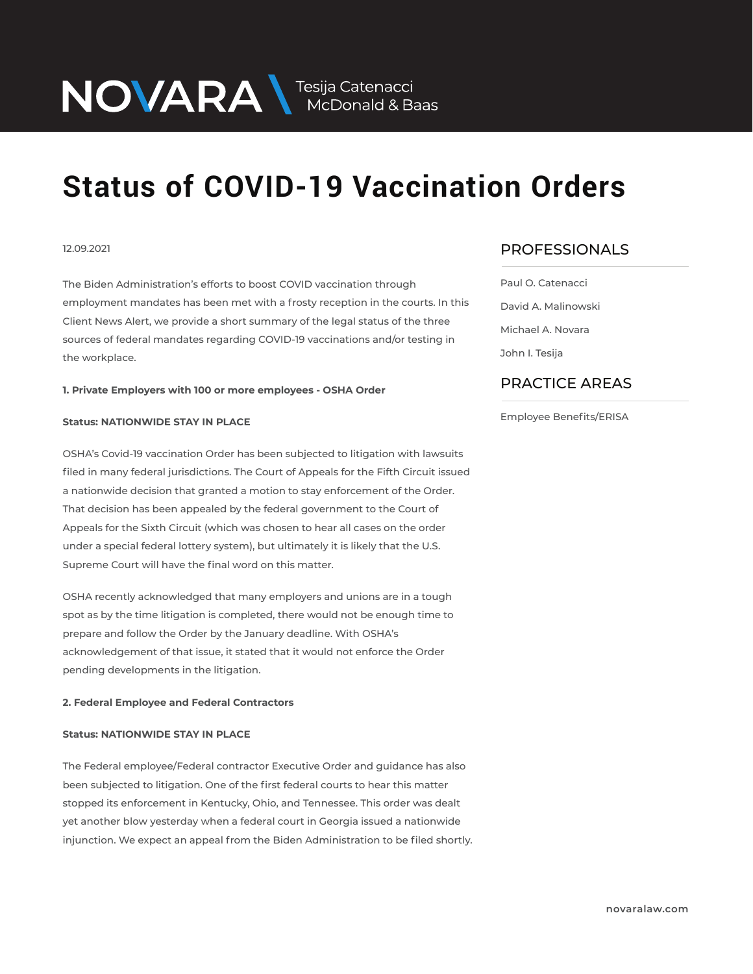## NOVARA MEDOnald & Baas

# **Status of COVID-19 Vaccination Orders**

### 12.09.2021

The Biden Administration's efforts to boost COVID vaccination through employment mandates has been met with a frosty reception in the courts. In this Client News Alert, we provide a short summary of the legal status of the three sources of federal mandates regarding COVID-19 vaccinations and/or testing in the workplace.

**1. Private Employers with 100 or more employees - OSHA Order**

#### **Status: NATIONWIDE STAY IN PLACE**

OSHA's Covid-19 vaccination Order has been subjected to litigation with lawsuits filed in many federal jurisdictions. The Court of Appeals for the Fifth Circuit issued a nationwide decision that granted a motion to stay enforcement of the Order. That decision has been appealed by the federal government to the Court of Appeals for the Sixth Circuit (which was chosen to hear all cases on the order under a special federal lottery system), but ultimately it is likely that the U.S. Supreme Court will have the final word on this matter.

OSHA recently acknowledged that many employers and unions are in a tough spot as by the time litigation is completed, there would not be enough time to prepare and follow the Order by the January deadline. With OSHA's acknowledgement of that issue, it stated that it would not enforce the Order pending developments in the litigation.

### **2. Federal Employee and Federal Contractors**

#### **Status: NATIONWIDE STAY IN PLACE**

The Federal employee/Federal contractor Executive Order and guidance has also been subjected to litigation. One of the first federal courts to hear this matter stopped its enforcement in Kentucky, Ohio, and Tennessee. This order was dealt yet another blow yesterday when a federal court in Georgia issued a nationwide injunction. We expect an appeal from the Biden Administration to be filed shortly.

## PROFESSIONALS  $\overline{\phantom{a}}$

Paul O. Catenacci David A. Malinowski Michael A. Novara John I. Tesija

## PRACTICE AREAS  $\overline{\phantom{a}}$

#### Employee Benefits/ERISA